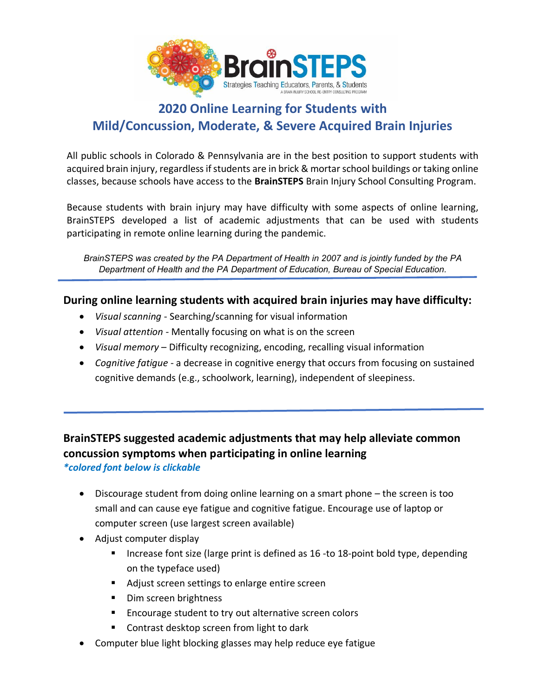

# **2020 Online Learning for Students with Mild/Concussion, Moderate, & Severe Acquired Brain Injuries**

All public schools in Colorado & Pennsylvania are in the best position to support students with acquired brain injury, regardless if students are in brick & mortar school buildings or taking online classes, because schools have access to the **BrainSTEPS** Brain Injury School Consulting Program.

Because students with brain injury may have difficulty with some aspects of online learning, BrainSTEPS developed a list of academic adjustments that can be used with students participating in remote online learning during the pandemic.

*BrainSTEPS was created by the PA Department of Health in 2007 and is jointly funded by the PA Department of Health and the PA Department of Education, Bureau of Special Education.* 

## **During online learning students with acquired brain injuries may have difficulty:**

- *Visual scanning* Searching/scanning for visual information
- *Visual attention* Mentally focusing on what is on the screen
- *Visual memory* Difficulty recognizing, encoding, recalling visual information
- *Cognitive fatigue* a decrease in cognitive energy that occurs from focusing on sustained cognitive demands (e.g., schoolwork, learning), independent of sleepiness.

## **BrainSTEPS suggested academic adjustments that may help alleviate common concussion symptoms when participating in online learning** *\*colored font below is clickable*

- Discourage student from doing online learning on a smart phone the screen is too small and can cause eye fatigue and cognitive fatigue. Encourage use of laptop or computer screen (use largest screen available)
- Adjust computer display
	- Increase font size (large print is defined as 16 -to 18-point bold type, depending on the typeface used)
	- Adjust screen settings to enlarge entire screen
	- Dim screen brightness
	- Encourage student to try out alternative screen colors
	- Contrast desktop screen from light to dark
- Computer blue light blocking glasses may help reduce eye fatigue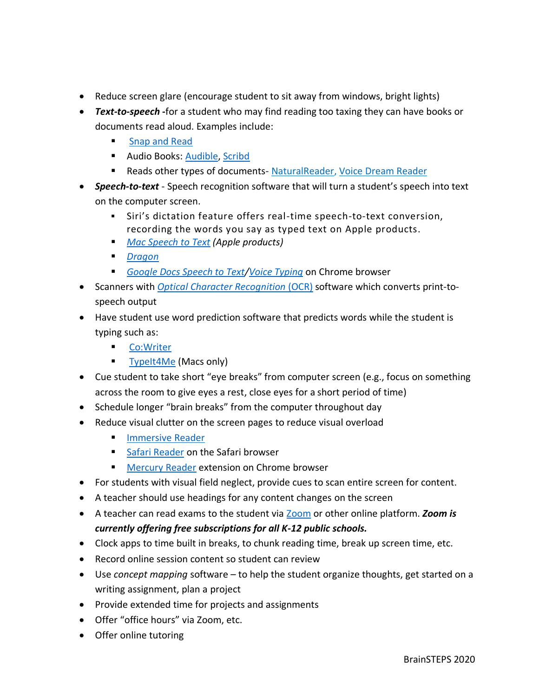- Reduce screen glare (encourage student to sit away from windows, bright lights)
- *Text-to-speech* **-**for a student who may find reading too taxing they can have books or documents read aloud. Examples include:
	- **[Snap and Read](https://learningtools.donjohnston.com/product/snap-read/)**
	- **E** Audio Books: [Audible,](https://www.audible.com/ep/freetrial?source_code=GO1GBSH09091690EF&device=d&ds_rl=1262685&ds_rl=1257028&ds_rl=1260658&cvosrc=ppc.google.audible&cvo_campaign=226473129&cvo_crid=384375965513&Matchtype=e&gclid=EAIaIQobChMI7_yTnrWn6AIVConICh37ZQcSEAAYASAAEgLTrvD_BwE&gclsrc=aw.ds) [Scribd](https://www.scribd.com/?lohp=1)
	- Reads other types of documents- [NaturalReader,](https://www.naturalreaders.com/) [Voice Dream Reader](https://www.voicedream.com/reader/)
- *Speech-to-text* Speech recognition software that will turn a student's speech into text on the computer screen.
	- Siri's dictation feature offers real-time speech-to-text conversion, recording the words you say as typed text on Apple products.
	- *[Mac Speech to Text](https://www.youtube.com/watch?v=isveOL1kgM4) (Apple products)*
	- *[Dragon](https://www.nuance.com/dragon.html)*
	- *[Google Docs Speech to Text](https://www.techrepublic.com/article/pro-tip-how-to-speech-to-text-in-google-docs/)[/Voice Typing](https://www.smore.com/91m4v-voice-typing-in-google-docs)* on Chrome browser
- Scanners with *[Optical Character Recognition](https://www.onlineocr.net/)* (OCR) software which converts print-tospeech output
- Have student use word prediction software that predicts words while the student is typing such as:
	- [Co:Writer](https://learningtools.donjohnston.com/product/cowriter/)
	- [TypeIt4Me](https://www.ettoresoftware.com/mac-apps/typeit4me/) (Macs only)
- Cue student to take short "eye breaks" from computer screen (e.g., focus on something across the room to give eyes a rest, close eyes for a short period of time)
- Schedule longer "brain breaks" from the computer throughout day
- Reduce visual clutter on the screen pages to reduce visual overload
	- [Immersive Reader](https://education.microsoft.com/en-us/resource/9b010288)
	- [Safari Reader](https://www.google.com/search?q=safari+reader&oq=safari+reader++&aqs=chrome..69i57j0l7.3405j0j4&sourceid=chrome&ie=UTF-8) on the Safari browser
	- [Mercury Reader](https://chrome.google.com/webstore/detail/mercury-reader/oknpjjbmpnndlpmnhmekjpocelpnlfdi) extension on Chrome browser
- For students with visual field neglect, provide cues to scan entire screen for content.
- A teacher should use headings for any content changes on the screen
- A teacher can read exams to the student via [Zoom](https://zoom.us/docs/en-us/covid19.html) or other online platform. *Zoom is currently offering free subscriptions for all K-12 public schools.*
- Clock apps to time built in breaks, to chunk reading time, break up screen time, etc.
- Record online session content so student can review
- Use *concept mapping* software to help the student organize thoughts, get started on a writing assignment, plan a project
- Provide extended time for projects and assignments
- Offer "office hours" via Zoom, etc.
- Offer online tutoring